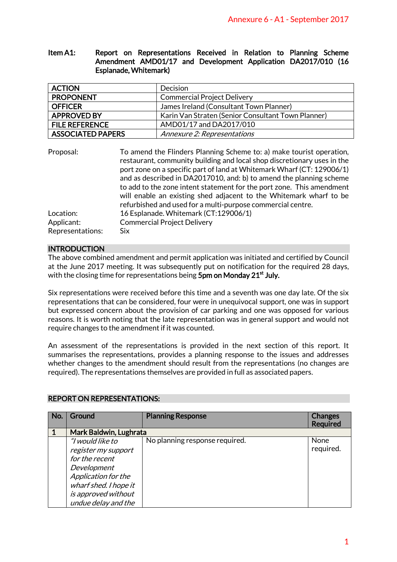## Item A1: Report on Representations Received in Relation to Planning Scheme Amendment AMD01/17 and Development Application DA2017/010 (16 Esplanade, Whitemark)

| <b>ACTION</b>            | <b>Decision</b>                                    |
|--------------------------|----------------------------------------------------|
| <b>PROPONENT</b>         | <b>Commercial Project Delivery</b>                 |
| <b>OFFICER</b>           | James Ireland (Consultant Town Planner)            |
| <b>APPROVED BY</b>       | Karin Van Straten (Senior Consultant Town Planner) |
| <b>FILE REFERENCE</b>    | AMD01/17 and DA2017/010                            |
| <b>ASSOCIATED PAPERS</b> | Annexure 2: Representations                        |

| Proposal:        | To amend the Flinders Planning Scheme to: a) make tourist operation,<br>restaurant, community building and local shop discretionary uses in the<br>port zone on a specific part of land at Whitemark Wharf (CT: 129006/1)<br>and as described in DA2017010, and: b) to amend the planning scheme |
|------------------|--------------------------------------------------------------------------------------------------------------------------------------------------------------------------------------------------------------------------------------------------------------------------------------------------|
|                  | to add to the zone intent statement for the port zone. This amendment<br>will enable an existing shed adjacent to the Whitemark wharf to be<br>refurbished and used for a multi-purpose commercial centre.                                                                                       |
| Location:        | 16 Esplanade. Whitemark (CT:129006/1)                                                                                                                                                                                                                                                            |
| Applicant:       | <b>Commercial Project Delivery</b>                                                                                                                                                                                                                                                               |
| Representations: | Six                                                                                                                                                                                                                                                                                              |

## **INTRODUCTION**

|                                                                                                                                                                                                                                                                                                                                                                                                                                                                                                                                                                                                                                                                                                                                                               |                                                                                                                                                                                                                                                                                                                                                                                                                                                                                                                                                                                                                                                                  |                       | Annexure 6 - A1 - September 2017                                                                                    |                                   |  |
|---------------------------------------------------------------------------------------------------------------------------------------------------------------------------------------------------------------------------------------------------------------------------------------------------------------------------------------------------------------------------------------------------------------------------------------------------------------------------------------------------------------------------------------------------------------------------------------------------------------------------------------------------------------------------------------------------------------------------------------------------------------|------------------------------------------------------------------------------------------------------------------------------------------------------------------------------------------------------------------------------------------------------------------------------------------------------------------------------------------------------------------------------------------------------------------------------------------------------------------------------------------------------------------------------------------------------------------------------------------------------------------------------------------------------------------|-----------------------|---------------------------------------------------------------------------------------------------------------------|-----------------------------------|--|
| Item A1:                                                                                                                                                                                                                                                                                                                                                                                                                                                                                                                                                                                                                                                                                                                                                      |                                                                                                                                                                                                                                                                                                                                                                                                                                                                                                                                                                                                                                                                  | Esplanade, Whitemark) | Report on Representations Received in Relation to Planning Scheme<br>Amendment AMD01/17 and Development Application | DA2017/010 (16                    |  |
| <b>ACTION</b>                                                                                                                                                                                                                                                                                                                                                                                                                                                                                                                                                                                                                                                                                                                                                 |                                                                                                                                                                                                                                                                                                                                                                                                                                                                                                                                                                                                                                                                  |                       | Decision                                                                                                            |                                   |  |
|                                                                                                                                                                                                                                                                                                                                                                                                                                                                                                                                                                                                                                                                                                                                                               | <b>PROPONENT</b>                                                                                                                                                                                                                                                                                                                                                                                                                                                                                                                                                                                                                                                 |                       | <b>Commercial Project Delivery</b>                                                                                  |                                   |  |
| <b>OFFICER</b>                                                                                                                                                                                                                                                                                                                                                                                                                                                                                                                                                                                                                                                                                                                                                |                                                                                                                                                                                                                                                                                                                                                                                                                                                                                                                                                                                                                                                                  |                       | James Ireland (Consultant Town Planner)                                                                             |                                   |  |
|                                                                                                                                                                                                                                                                                                                                                                                                                                                                                                                                                                                                                                                                                                                                                               | <b>APPROVED BY</b>                                                                                                                                                                                                                                                                                                                                                                                                                                                                                                                                                                                                                                               |                       | Karin Van Straten (Senior Consultant Town Planner)                                                                  |                                   |  |
|                                                                                                                                                                                                                                                                                                                                                                                                                                                                                                                                                                                                                                                                                                                                                               | <b>FILE REFERENCE</b>                                                                                                                                                                                                                                                                                                                                                                                                                                                                                                                                                                                                                                            |                       | AMD01/17 and DA2017/010                                                                                             |                                   |  |
|                                                                                                                                                                                                                                                                                                                                                                                                                                                                                                                                                                                                                                                                                                                                                               | <b>ASSOCIATED PAPERS</b>                                                                                                                                                                                                                                                                                                                                                                                                                                                                                                                                                                                                                                         |                       | Annexure 2: Representations                                                                                         |                                   |  |
|                                                                                                                                                                                                                                                                                                                                                                                                                                                                                                                                                                                                                                                                                                                                                               | Proposal:<br>To amend the Flinders Planning Scheme to: a) make tourist operation,<br>restaurant, community building and local shop discretionary uses in the<br>port zone on a specific part of land at Whitemark Wharf (CT: 129006/1)<br>and as described in DA2017010, and: b) to amend the planning scheme<br>to add to the zone intent statement for the port zone. This amendment<br>will enable an existing shed adjacent to the Whitemark wharf to be<br>refurbished and used for a multi-purpose commercial centre.<br>Location:<br>16 Esplanade. Whitemark (CT:129006/1)<br>Applicant:<br><b>Commercial Project Delivery</b><br>Representations:<br>Six |                       |                                                                                                                     |                                   |  |
| <b>INTRODUCTION</b><br>The above combined amendment and permit application was initiated and certified by Council<br>at the June 2017 meeting. It was subsequently put on notification for the required 28 days,<br>with the closing time for representations being 5pm on Monday 21 <sup>st</sup> July.<br>Six representations were received before this time and a seventh was one day late. Of the six<br>representations that can be considered, four were in unequivocal support, one was in support<br>but expressed concern about the provision of car parking and one was opposed for various<br>reasons. It is worth noting that the late representation was in general support and would not<br>require changes to the amendment if it was counted. |                                                                                                                                                                                                                                                                                                                                                                                                                                                                                                                                                                                                                                                                  |                       |                                                                                                                     |                                   |  |
| An assessment of the representations is provided in the next section of this report. It<br>summarises the representations, provides a planning response to the issues and addresses<br>whether changes to the amendment should result from the representations (no changes are<br>required). The representations themselves are provided in full as associated papers.<br><b>REPORT ON REPRESENTATIONS:</b>                                                                                                                                                                                                                                                                                                                                                   |                                                                                                                                                                                                                                                                                                                                                                                                                                                                                                                                                                                                                                                                  |                       |                                                                                                                     |                                   |  |
| No.                                                                                                                                                                                                                                                                                                                                                                                                                                                                                                                                                                                                                                                                                                                                                           | Ground                                                                                                                                                                                                                                                                                                                                                                                                                                                                                                                                                                                                                                                           |                       | <b>Planning Response</b>                                                                                            | <b>Changes</b><br><b>Required</b> |  |
| $\mathbf{1}$                                                                                                                                                                                                                                                                                                                                                                                                                                                                                                                                                                                                                                                                                                                                                  | Mark Baldwin, Lughrata                                                                                                                                                                                                                                                                                                                                                                                                                                                                                                                                                                                                                                           |                       |                                                                                                                     |                                   |  |
|                                                                                                                                                                                                                                                                                                                                                                                                                                                                                                                                                                                                                                                                                                                                                               | "I would like to<br>register my support<br>for the recent<br>Development<br>Application for the<br>wharf shed. I hope it<br>is approved without<br>undue delay and the                                                                                                                                                                                                                                                                                                                                                                                                                                                                                           |                       | No planning response required.                                                                                      | None<br>required.                 |  |
|                                                                                                                                                                                                                                                                                                                                                                                                                                                                                                                                                                                                                                                                                                                                                               |                                                                                                                                                                                                                                                                                                                                                                                                                                                                                                                                                                                                                                                                  |                       |                                                                                                                     | $\mathbf 1$                       |  |

# REPORT ON REPRESENTATIONS: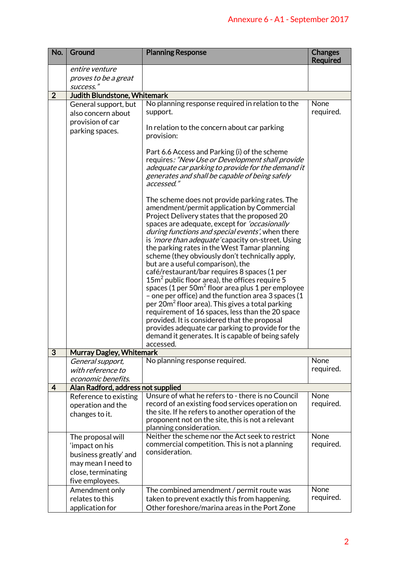|                | Annexure 6 - A1 - September 2017                                                                                            |                                                                                                                                                                                                                                                                                                                                                                                                                                                                                                                                                                                                                                                                                                                                                                                                                                                                                                                                                                              |                                   |
|----------------|-----------------------------------------------------------------------------------------------------------------------------|------------------------------------------------------------------------------------------------------------------------------------------------------------------------------------------------------------------------------------------------------------------------------------------------------------------------------------------------------------------------------------------------------------------------------------------------------------------------------------------------------------------------------------------------------------------------------------------------------------------------------------------------------------------------------------------------------------------------------------------------------------------------------------------------------------------------------------------------------------------------------------------------------------------------------------------------------------------------------|-----------------------------------|
| No.            | Ground                                                                                                                      | <b>Planning Response</b>                                                                                                                                                                                                                                                                                                                                                                                                                                                                                                                                                                                                                                                                                                                                                                                                                                                                                                                                                     | <b>Changes</b><br><b>Required</b> |
|                | entire venture<br>proves to be a great<br>success."                                                                         |                                                                                                                                                                                                                                                                                                                                                                                                                                                                                                                                                                                                                                                                                                                                                                                                                                                                                                                                                                              |                                   |
| $\overline{2}$ | Judith Blundstone, Whitemark                                                                                                |                                                                                                                                                                                                                                                                                                                                                                                                                                                                                                                                                                                                                                                                                                                                                                                                                                                                                                                                                                              |                                   |
|                | General support, but<br>also concern about<br>provision of car<br>parking spaces.                                           | No planning response required in relation to the<br>support.<br>In relation to the concern about car parking<br>provision:<br>Part 6.6 Access and Parking (i) of the scheme<br>requires: "New Use or Development shall provide<br>adequate car parking to provide for the demand it<br>generates and shall be capable of being safely<br>accessed."                                                                                                                                                                                                                                                                                                                                                                                                                                                                                                                                                                                                                          | None<br>required.                 |
|                |                                                                                                                             | The scheme does not provide parking rates. The<br>amendment/permit application by Commercial<br>Project Delivery states that the proposed 20<br>spaces are adequate, except for <i>'occasionally</i><br>during functions and special events', when there<br>is 'more than adequate' capacity on-street. Using<br>the parking rates in the West Tamar planning<br>scheme (they obviously don't technically apply,<br>but are a useful comparison), the<br>café/restaurant/bar requires 8 spaces (1 per<br>$15m2$ public floor area), the offices require 5<br>spaces (1 per 50m <sup>2</sup> floor area plus 1 per employee<br>- one per office) and the function area 3 spaces (1<br>per 20m <sup>2</sup> floor area). This gives a total parking<br>requirement of 16 spaces, less than the 20 space<br>provided. It is considered that the proposal<br>provides adequate car parking to provide for the<br>demand it generates. It is capable of being safely<br>accessed. |                                   |
| $\overline{3}$ | <b>Murray Dagley, Whitemark</b>                                                                                             |                                                                                                                                                                                                                                                                                                                                                                                                                                                                                                                                                                                                                                                                                                                                                                                                                                                                                                                                                                              |                                   |
|                | General support,<br>with reference to<br>economic benefits.                                                                 | No planning response required.                                                                                                                                                                                                                                                                                                                                                                                                                                                                                                                                                                                                                                                                                                                                                                                                                                                                                                                                               | None<br>required.                 |
| 4              | Alan Radford, address not supplied                                                                                          |                                                                                                                                                                                                                                                                                                                                                                                                                                                                                                                                                                                                                                                                                                                                                                                                                                                                                                                                                                              |                                   |
|                | Reference to existing<br>operation and the<br>changes to it.                                                                | Unsure of what he refers to - there is no Council<br>record of an existing food services operation on<br>the site. If he refers to another operation of the<br>proponent not on the site, this is not a relevant<br>planning consideration.                                                                                                                                                                                                                                                                                                                                                                                                                                                                                                                                                                                                                                                                                                                                  | None<br>required.                 |
|                | The proposal will<br>'impact on his<br>business greatly' and<br>may mean I need to<br>close, terminating<br>five employees. | Neither the scheme nor the Act seek to restrict<br>commercial competition. This is not a planning<br>consideration.                                                                                                                                                                                                                                                                                                                                                                                                                                                                                                                                                                                                                                                                                                                                                                                                                                                          | None<br>required.                 |
|                | Amendment only<br>relates to this<br>application for                                                                        | The combined amendment / permit route was<br>taken to prevent exactly this from happening.<br>Other foreshore/marina areas in the Port Zone                                                                                                                                                                                                                                                                                                                                                                                                                                                                                                                                                                                                                                                                                                                                                                                                                                  | None<br>required.                 |
|                |                                                                                                                             |                                                                                                                                                                                                                                                                                                                                                                                                                                                                                                                                                                                                                                                                                                                                                                                                                                                                                                                                                                              | $\overline{2}$                    |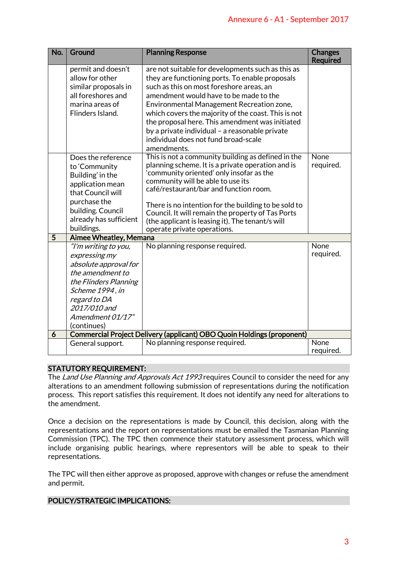| Annexure 6 - A1 - September 2017                                                                                                                                                                                                                                                                                                                         |                                                                                                                                                                                                   |                                                                                                                                                                                                                                                                                                                                                                                                                                                            |                                   |  |  |
|----------------------------------------------------------------------------------------------------------------------------------------------------------------------------------------------------------------------------------------------------------------------------------------------------------------------------------------------------------|---------------------------------------------------------------------------------------------------------------------------------------------------------------------------------------------------|------------------------------------------------------------------------------------------------------------------------------------------------------------------------------------------------------------------------------------------------------------------------------------------------------------------------------------------------------------------------------------------------------------------------------------------------------------|-----------------------------------|--|--|
| No.                                                                                                                                                                                                                                                                                                                                                      | Ground                                                                                                                                                                                            | <b>Planning Response</b>                                                                                                                                                                                                                                                                                                                                                                                                                                   | <b>Changes</b><br><b>Required</b> |  |  |
|                                                                                                                                                                                                                                                                                                                                                          | permit and doesn't<br>allow for other<br>similar proposals in<br>all foreshores and<br>marina areas of<br>Flinders Island.                                                                        | are not suitable for developments such as this as<br>they are functioning ports. To enable proposals<br>such as this on most foreshore areas, an<br>amendment would have to be made to the<br>Environmental Management Recreation zone,<br>which covers the majority of the coast. This is not<br>the proposal here. This amendment was initiated<br>by a private individual - a reasonable private<br>individual does not fund broad-scale<br>amendments. |                                   |  |  |
|                                                                                                                                                                                                                                                                                                                                                          | Does the reference<br>to 'Community<br>Building' in the<br>application mean<br>that Council will<br>purchase the<br>building. Council<br>already has sufficient<br>buildings.                     | This is not a community building as defined in the<br>planning scheme. It is a private operation and is<br>'community oriented' only insofar as the<br>community will be able to use its<br>café/restaurant/bar and function room.<br>There is no intention for the building to be sold to<br>Council. It will remain the property of Tas Ports<br>(the applicant is leasing it). The tenant/s will<br>operate private operations.                         | None<br>required.                 |  |  |
| 5                                                                                                                                                                                                                                                                                                                                                        | <b>Aimee Wheatley, Memana</b>                                                                                                                                                                     |                                                                                                                                                                                                                                                                                                                                                                                                                                                            |                                   |  |  |
| 6                                                                                                                                                                                                                                                                                                                                                        | "I'm writing to you,<br>expressing my<br>absolute approval for<br>the amendment to<br>the Flinders Planning<br>Scheme 1994, in<br>regard to DA<br>2017/010 and<br>Amendment 01/17"<br>(continues) | No planning response required.<br>Commercial Project Delivery (applicant) OBO Quoin Holdings (proponent)                                                                                                                                                                                                                                                                                                                                                   | None<br>required.                 |  |  |
|                                                                                                                                                                                                                                                                                                                                                          | General support.                                                                                                                                                                                  | No planning response required.                                                                                                                                                                                                                                                                                                                                                                                                                             | None                              |  |  |
|                                                                                                                                                                                                                                                                                                                                                          |                                                                                                                                                                                                   |                                                                                                                                                                                                                                                                                                                                                                                                                                                            | required.                         |  |  |
| <b>STATUTORY REQUIREMENT:</b><br>The <i>Land Use Planning and Approvals Act 1993</i> requires Council to consider the need for any<br>alterations to an amendment following submission of representations during the notification<br>process. This report satisfies this requirement. It does not identify any need for alterations to<br>the amendment. |                                                                                                                                                                                                   |                                                                                                                                                                                                                                                                                                                                                                                                                                                            |                                   |  |  |
|                                                                                                                                                                                                                                                                                                                                                          | representations.                                                                                                                                                                                  | Once a decision on the representations is made by Council, this decision, along with the<br>representations and the report on representations must be emailed the Tasmanian Planning<br>Commission (TPC). The TPC then commence their statutory assessment process, which will<br>include organising public hearings, where representors will be able to speak to their                                                                                    |                                   |  |  |
| and permit.                                                                                                                                                                                                                                                                                                                                              |                                                                                                                                                                                                   | The TPC will then either approve as proposed, approve with changes or refuse the amendment                                                                                                                                                                                                                                                                                                                                                                 |                                   |  |  |
| POLICY/STRATEGIC IMPLICATIONS:                                                                                                                                                                                                                                                                                                                           |                                                                                                                                                                                                   |                                                                                                                                                                                                                                                                                                                                                                                                                                                            |                                   |  |  |
|                                                                                                                                                                                                                                                                                                                                                          |                                                                                                                                                                                                   |                                                                                                                                                                                                                                                                                                                                                                                                                                                            | 3                                 |  |  |

# STATUTORY REQUIREMENT:

# POLICY/STRATEGIC IMPLICATIONS: